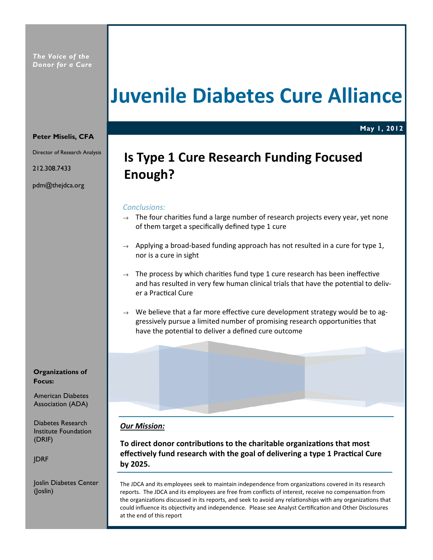## Juvenile Diabetes Cure Alliance

May 1, 2012

#### Peter Miselis, CFA

Director of Research Analysis

212.308.7433

pdm@thejdca.org

## Is Type 1 Cure Research Funding Focused Enough?

#### Conclusions:

- $\rightarrow$  The four charities fund a large number of research projects every year, yet none of them target a specifically defined type 1 cure
- $\rightarrow$  Applying a broad-based funding approach has not resulted in a cure for type 1, nor is a cure in sight
- $\rightarrow$  The process by which charities fund type 1 cure research has been ineffective and has resulted in very few human clinical trials that have the potential to deliver a Practical Cure
- $\rightarrow$  We believe that a far more effective cure development strategy would be to aggressively pursue a limited number of promising research opportunies that have the potential to deliver a defined cure outcome

Our Mission:

To direct donor contributions to the charitable organizations that most effectively fund research with the goal of delivering a type 1 Practical Cure by 2025.

The JDCA and its employees seek to maintain independence from organizations covered in its research reports. The JDCA and its employees are free from conflicts of interest, receive no compensation from the organizations discussed in its reports, and seek to avoid any relationships with any organizations that could influence its objectivity and independence. Please see Analyst Certification and Other Disclosures at the end of this report

Organizations of Focus:

American Diabetes Association (ADA)

Diabetes Research Institute Foundation (DRIF)

JDRF

Joslin Diabetes Center (Joslin)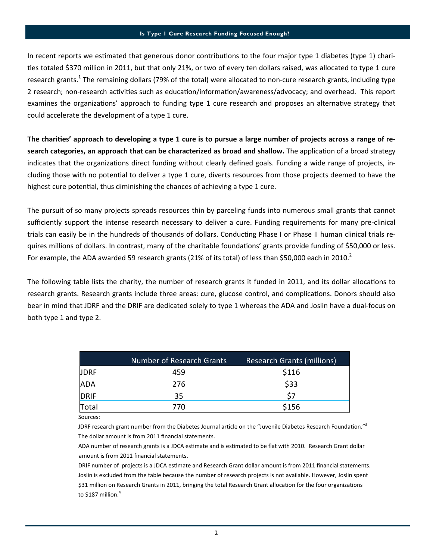#### Is Type 1 Cure Research Funding Focused Enough?

In recent reports we estimated that generous donor contributions to the four major type 1 diabetes (type 1) charities totaled \$370 million in 2011, but that only 21%, or two of every ten dollars raised, was allocated to type 1 cure research grants.<sup>1</sup> The remaining dollars (79% of the total) were allocated to non-cure research grants, including type 2 research; non-research activities such as education/information/awareness/advocacy; and overhead. This report examines the organizations' approach to funding type 1 cure research and proposes an alternative strategy that could accelerate the development of a type 1 cure.

The charities' approach to developing a type 1 cure is to pursue a large number of projects across a range of research categories, an approach that can be characterized as broad and shallow. The application of a broad strategy indicates that the organizations direct funding without clearly defined goals. Funding a wide range of projects, including those with no potential to deliver a type 1 cure, diverts resources from those projects deemed to have the highest cure potential, thus diminishing the chances of achieving a type 1 cure.

The pursuit of so many projects spreads resources thin by parceling funds into numerous small grants that cannot sufficiently support the intense research necessary to deliver a cure. Funding requirements for many pre-clinical trials can easily be in the hundreds of thousands of dollars. Conducting Phase I or Phase II human clinical trials requires millions of dollars. In contrast, many of the charitable foundations' grants provide funding of \$50,000 or less. For example, the ADA awarded 59 research grants (21% of its total) of less than \$50,000 each in 2010.<sup>2</sup>

The following table lists the charity, the number of research grants it funded in 2011, and its dollar allocations to research grants. Research grants include three areas: cure, glucose control, and complications. Donors should also bear in mind that JDRF and the DRIF are dedicated solely to type 1 whereas the ADA and Joslin have a dual-focus on both type 1 and type 2.

|             | Number of Research Grants | <b>Research Grants (millions)</b> |
|-------------|---------------------------|-----------------------------------|
| <b>JDRF</b> | 459                       | \$116                             |
| <b>ADA</b>  | 276                       | \$33                              |
| DRIF        | 35                        | S7                                |
| Total       | 770                       | \$156                             |

Sources:

JDRF research grant number from the Diabetes Journal article on the "Juvenile Diabetes Research Foundation."<sup>3</sup> The dollar amount is from 2011 financial statements.

ADA number of research grants is a JDCA estimate and is estimated to be flat with 2010. Research Grant dollar amount is from 2011 financial statements.

DRIF number of projects is a JDCA estimate and Research Grant dollar amount is from 2011 financial statements. Joslin is excluded from the table because the number of research projects is not available. However, Joslin spent \$31 million on Research Grants in 2011, bringing the total Research Grant allocation for the four organizations to \$187 million. $4$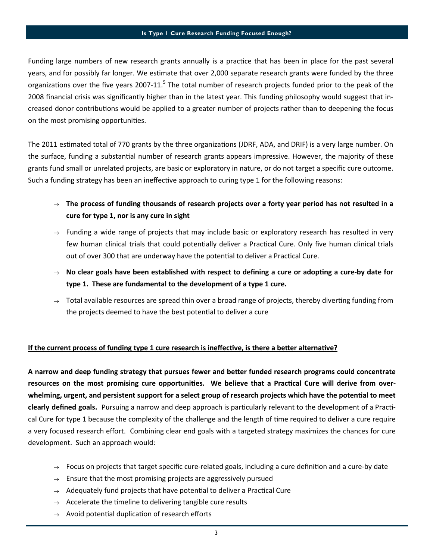Funding large numbers of new research grants annually is a practice that has been in place for the past several years, and for possibly far longer. We estimate that over 2,000 separate research grants were funded by the three organizations over the five years 2007-11.<sup>5</sup> The total number of research projects funded prior to the peak of the 2008 financial crisis was significantly higher than in the latest year. This funding philosophy would suggest that increased donor contributions would be applied to a greater number of projects rather than to deepening the focus on the most promising opportunities.

The 2011 estimated total of 770 grants by the three organizations (JDRF, ADA, and DRIF) is a very large number. On the surface, funding a substantial number of research grants appears impressive. However, the majority of these grants fund small or unrelated projects, are basic or exploratory in nature, or do not target a specific cure outcome. Such a funding strategy has been an ineffective approach to curing type 1 for the following reasons:

- $\rightarrow$  The process of funding thousands of research projects over a forty year period has not resulted in a cure for type 1, nor is any cure in sight
- $\rightarrow$  Funding a wide range of projects that may include basic or exploratory research has resulted in very few human clinical trials that could potentially deliver a Practical Cure. Only five human clinical trials out of over 300 that are underway have the potential to deliver a Practical Cure.
- $\rightarrow$  No clear goals have been established with respect to defining a cure or adopting a cure-by date for type 1. These are fundamental to the development of a type 1 cure.
- $\rightarrow$  Total available resources are spread thin over a broad range of projects, thereby diverting funding from the projects deemed to have the best potential to deliver a cure

### If the current process of funding type 1 cure research is ineffective, is there a better alternative?

A narrow and deep funding strategy that pursues fewer and better funded research programs could concentrate resources on the most promising cure opportunities. We believe that a Practical Cure will derive from overwhelming, urgent, and persistent support for a select group of research projects which have the potential to meet clearly defined goals. Pursuing a narrow and deep approach is particularly relevant to the development of a Practical Cure for type 1 because the complexity of the challenge and the length of time required to deliver a cure require a very focused research effort. Combining clear end goals with a targeted strategy maximizes the chances for cure development. Such an approach would:

- $\rightarrow$  Focus on projects that target specific cure-related goals, including a cure definition and a cure-by date
- $\rightarrow$  Ensure that the most promising projects are aggressively pursued
- $\rightarrow$  Adequately fund projects that have potential to deliver a Practical Cure
- $\rightarrow$  Accelerate the timeline to delivering tangible cure results
- $\rightarrow$  Avoid potential duplication of research efforts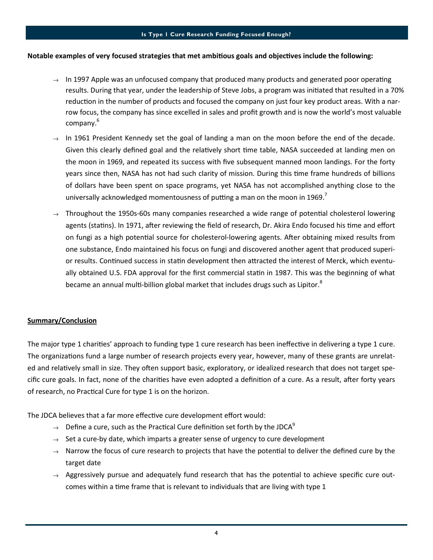#### Is Type 1 Cure Research Funding Focused Enough?

#### Notable examples of very focused strategies that met ambitious goals and objectives include the following:

- $\rightarrow$  In 1997 Apple was an unfocused company that produced many products and generated poor operating results. During that year, under the leadership of Steve Jobs, a program was initiated that resulted in a 70% reduction in the number of products and focused the company on just four key product areas. With a narrow focus, the company has since excelled in sales and profit growth and is now the world's most valuable company.<sup>6</sup>
- $\rightarrow$  In 1961 President Kennedy set the goal of landing a man on the moon before the end of the decade. Given this clearly defined goal and the relatively short time table, NASA succeeded at landing men on the moon in 1969, and repeated its success with five subsequent manned moon landings. For the forty years since then, NASA has not had such clarity of mission. During this me frame hundreds of billions of dollars have been spent on space programs, yet NASA has not accomplished anything close to the universally acknowledged momentousness of putting a man on the moon in 1969.<sup>7</sup>
- $\rightarrow$  Throughout the 1950s-60s many companies researched a wide range of potential cholesterol lowering agents (statins). In 1971, after reviewing the field of research, Dr. Akira Endo focused his time and effort on fungi as a high potential source for cholesterol-lowering agents. After obtaining mixed results from one substance, Endo maintained his focus on fungi and discovered another agent that produced superior results. Continued success in statin development then attracted the interest of Merck, which eventually obtained U.S. FDA approval for the first commercial statin in 1987. This was the beginning of what became an annual multi-billion global market that includes drugs such as Lipitor.<sup>8</sup>

#### Summary/Conclusion

The major type 1 charities' approach to funding type 1 cure research has been ineffective in delivering a type 1 cure. The organizations fund a large number of research projects every year, however, many of these grants are unrelated and relatively small in size. They often support basic, exploratory, or idealized research that does not target specific cure goals. In fact, none of the charities have even adopted a definition of a cure. As a result, after forty years of research, no Practical Cure for type 1 is on the horizon.

The JDCA believes that a far more effective cure development effort would:

- $\rightarrow$  Define a cure, such as the Practical Cure definition set forth by the JDCA<sup>9</sup>
- $\rightarrow$  Set a cure-by date, which imparts a greater sense of urgency to cure development
- $\rightarrow$  Narrow the focus of cure research to projects that have the potential to deliver the defined cure by the target date
- $\rightarrow$  Aggressively pursue and adequately fund research that has the potential to achieve specific cure outcomes within a time frame that is relevant to individuals that are living with type 1